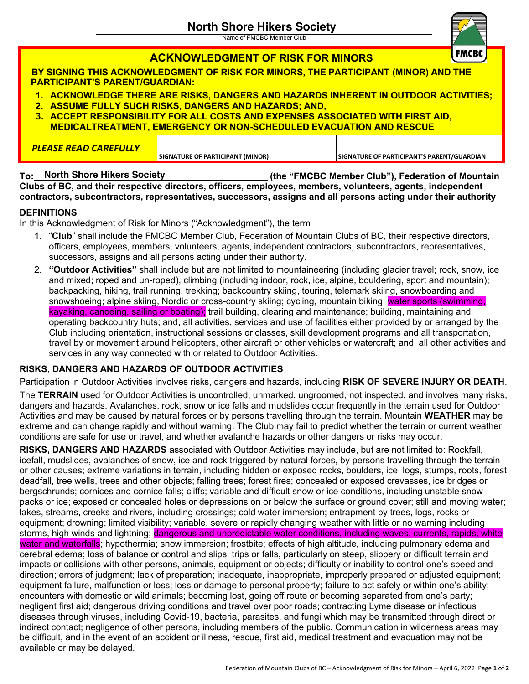Name of FMCBC Member Club

|                                                                                                                                                                                                                                                                                                             | <b>ACKNOWLEDGMENT OF RISK FOR MINORS</b>                                                                   |                                                   | <b>FMCBC</b> |  |
|-------------------------------------------------------------------------------------------------------------------------------------------------------------------------------------------------------------------------------------------------------------------------------------------------------------|------------------------------------------------------------------------------------------------------------|---------------------------------------------------|--------------|--|
| BY SIGNING THIS ACKNOWLEDGMENT OF RISK FOR MINORS, THE PARTICIPANT (MINOR) AND THE<br><b>PARTICIPANT'S PARENT/GUARDIAN:</b>                                                                                                                                                                                 |                                                                                                            |                                                   |              |  |
| 1. ACKNOWLEDGE THERE ARE RISKS, DANGERS AND HAZARDS INHERENT IN OUTDOOR ACTIVITIES;<br>2. ASSUME FULLY SUCH RISKS, DANGERS AND HAZARDS; AND,<br>3. ACCEPT RESPONSIBILITY FOR ALL COSTS AND EXPENSES ASSOCIATED WITH FIRST AID,<br><b>MEDICALTREATMENT, EMERGENCY OR NON-SCHEDULED EVACUATION AND RESCUE</b> |                                                                                                            |                                                   |              |  |
| <b>PLEASE READ CAREFULLY</b>                                                                                                                                                                                                                                                                                | SIGNATURE OF PARTICIPANT (MINOR)                                                                           | SIGNATURE OF PARTICIPANT'S PARENT/GUARDIAN        |              |  |
| To: North Shore Hikers Society                                                                                                                                                                                                                                                                              | Clubs of RC, and their respective directors, officers, employees, members, volunteers, agents, independent | (the "FMCBC Member Club"), Federation of Mountain |              |  |

**Clubs of BC, and their respective directors, officers, employees, members, volunteers, agents, independent contractors, subcontractors, representatives, successors, assigns and all persons acting under their authority**

### **DEFINITIONS**

In this Acknowledgment of Risk for Minors ("Acknowledgment"), the term

- 1. "**Club**" shall include the FMCBC Member Club, Federation of Mountain Clubs of BC, their respective directors, officers, employees, members, volunteers, agents, independent contractors, subcontractors, representatives, successors, assigns and all persons acting under their authority.
- 2. **"Outdoor Activities"** shall include but are not limited to mountaineering (including glacier travel; rock, snow, ice and mixed; roped and un-roped), climbing (including indoor, rock, ice, alpine, bouldering, sport and mountain); backpacking, hiking, trail running, trekking; backcountry skiing, touring, telemark skiing, snowboarding and snowshoeing; alpine skiing, Nordic or cross-country skiing; cycling, mountain biking; water sports (swimming, kayaking, canoeing, sailing or boating); trail building, clearing and maintenance; building, maintaining and operating backcountry huts; and, all activities, services and use of facilities either provided by or arranged by the Club including orientation, instructional sessions or classes, skill development programs and all transportation, travel by or movement around helicopters, other aircraft or other vehicles or watercraft; and, all other activities and services in any way connected with or related to Outdoor Activities.

### **RISKS, DANGERS AND HAZARDS OF OUTDOOR ACTIVITIES**

Participation in Outdoor Activities involves risks, dangers and hazards, including **RISK OF SEVERE INJURY OR DEATH**.

The **TERRAIN** used for Outdoor Activities is uncontrolled, unmarked, ungroomed, not inspected, and involves many risks, dangers and hazards. Avalanches, rock, snow or ice falls and mudslides occur frequently in the terrain used for Outdoor Activities and may be caused by natural forces or by persons travelling through the terrain. Mountain **WEATHER** may be extreme and can change rapidly and without warning. The Club may fail to predict whether the terrain or current weather conditions are safe for use or travel, and whether avalanche hazards or other dangers or risks may occur.

**RISKS, DANGERS AND HAZARDS** associated with Outdoor Activities may include, but are not limited to: Rockfall, icefall, mudslides, avalanches of snow, ice and rock triggered by natural forces, by persons travelling through the terrain or other causes; extreme variations in terrain, including hidden or exposed rocks, boulders, ice, logs, stumps, roots, forest deadfall, tree wells, trees and other objects; falling trees; forest fires; concealed or exposed crevasses, ice bridges or bergschrunds; cornices and cornice falls; cliffs; variable and difficult snow or ice conditions, including unstable snow packs or ice; exposed or concealed holes or depressions on or below the surface or ground cover; still and moving water; lakes, streams, creeks and rivers, including crossings; cold water immersion; entrapment by trees, logs, rocks or equipment; drowning; limited visibility; variable, severe or rapidly changing weather with little or no warning including storms, high winds and lightning; dangerous and unpredictable water conditions, including waves, currents, rapids, white water and waterfalls; hypothermia; snow immersion; frostbite; effects of high altitude, including pulmonary edema and cerebral edema; loss of balance or control and slips, trips or falls, particularly on steep, slippery or difficult terrain and impacts or collisions with other persons, animals, equipment or objects; difficulty or inability to control one's speed and direction; errors of judgment; lack of preparation; inadequate, inappropriate, improperly prepared or adjusted equipment; equipment failure, malfunction or loss; loss or damage to personal property; failure to act safely or within one's ability; encounters with domestic or wild animals; becoming lost, going off route or becoming separated from one's party; negligent first aid; dangerous driving conditions and travel over poor roads; contracting Lyme disease or infectious diseases through viruses, including Covid-19, bacteria, parasites, and fungi which may be transmitted through direct or indirect contact; negligence of other persons, including members of the public**.** Communication in wilderness areas may be difficult, and in the event of an accident or illness, rescue, first aid, medical treatment and evacuation may not be available or may be delayed.